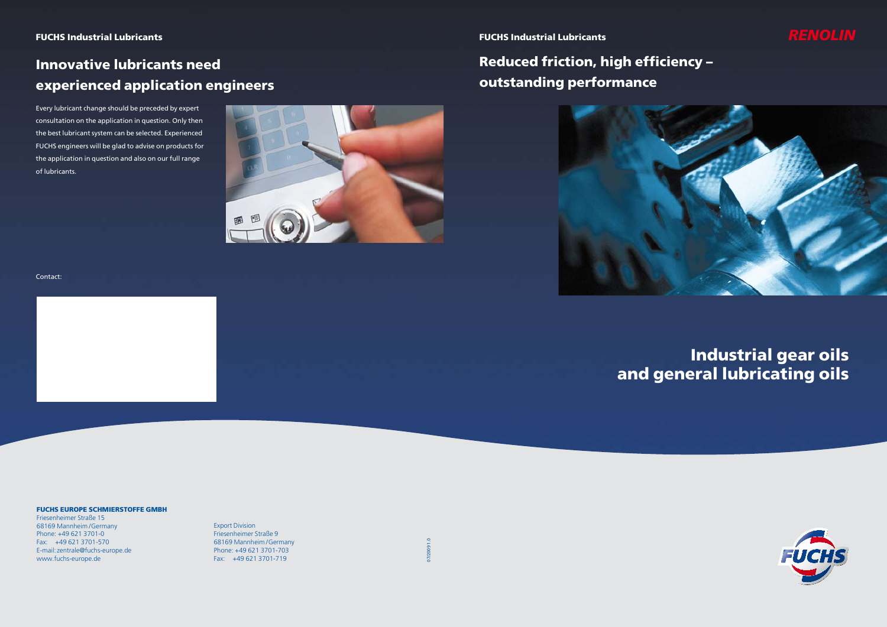## Reduced friction, high efficiency – outstanding performance



## Industrial gear oils and general lubricating oils





Contact:

Every lubricant change should be preceded by expert consultation on the application in question. Only then the best lubricant system can be selected. Experienced FUCHS engineers will be glad to advise on products for the application in question and also on our full range of lubricants.

#### FUCHS EUROPE SCHMIERSTOFFE GMBH

Friesenheimer Straße 15 68169 Mannheim /Germany Phone: +49 621 3701-0 Fax: +49 621 3701-570 E-mail: zentrale@fuchs-europe.de www.fuchs-europe.de

Export Division Friesenheimer Straße 9 68169 Mannheim /Germany Phone: +49 621 3701-703 Fax: +49 621 3701-719

 $\frac{1}{2}$ 07/2009 1.0  $1/20091$ 

## Innovative lubricants need experienced application engineers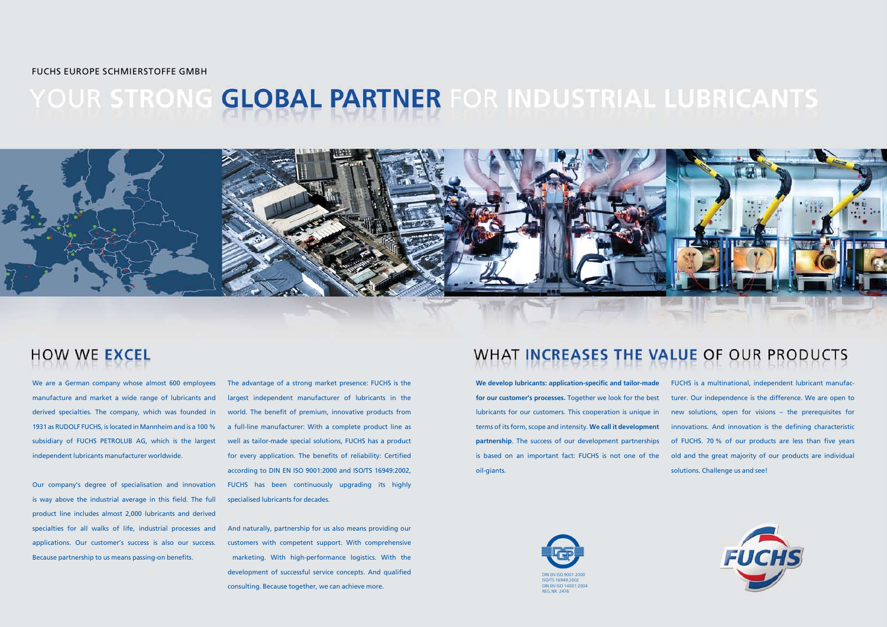We are a German company whose almost 600 employees manufacture and market a wide range of lubricants and derived specialties. The company, which was founded in 1931 as RUDOLF FUCHS, is located in Mannheim and is a 100 % subsidiary of FUCHS PETROLUB AG, which is the largest independent lubricants manufacturer worldwide.

Our company's degree of specialisation and innovation is way above the industrial average in this field. The full product line includes almost 2,000 lubricants and derived specialties for all walks of life, industrial processes and applications. Our customer's success is also our success. Because partnership to us means passing-on benefits.

FUCHS EUROPE SCHMIERSTOFFE GMBH

# YOUR STRONG GLOBAL PARTNER FOR INDUSTRIAL LUBRICANTS



## **HOW WE EXCEL**

The advantage of a strong market presence: FUCHS is the largest independent manufacturer of lubricants in the world. The benefit of premium, innovative products from a full-line manufacturer: With a complete product line as well as tailor-made special solutions, FUCHS has a product for every application. The benefits of reliability: Certified according to DIN EN ISO 9001:2000 and ISO/TS 16949:2002, FUCHS has been continuously upgrading its highly specialised lubricants for decades.

And naturally, partnership for us also means providing our customers with competent support. With comprehensive marketing. With high-performance logistics. With the development of successful service concepts. And qualified consulting. Because together, we can achieve more.

## WHAT INCREASES THE VALUE OF OUR PRODUCTS

**We develop lubricants: application-specific and tailor-made for our customer's processes.** Together we look for the best lubricants for our customers. This cooperation is unique in terms of its form, scope and intensity. **We call it development partnership**. The success of our development partnerships is based on an important fact: FUCHS is not one of the oil-giants.

FUCHS is a multinational, independent lubricant manufacturer. Our independence is the difference. We are open to new solutions, open for visions – the prerequisites for innovations. And innovation is the defining characteristic of FUCHS. 70 % of our products are less than five years old and the great majority of our products are individual solutions. Challenge us and see!



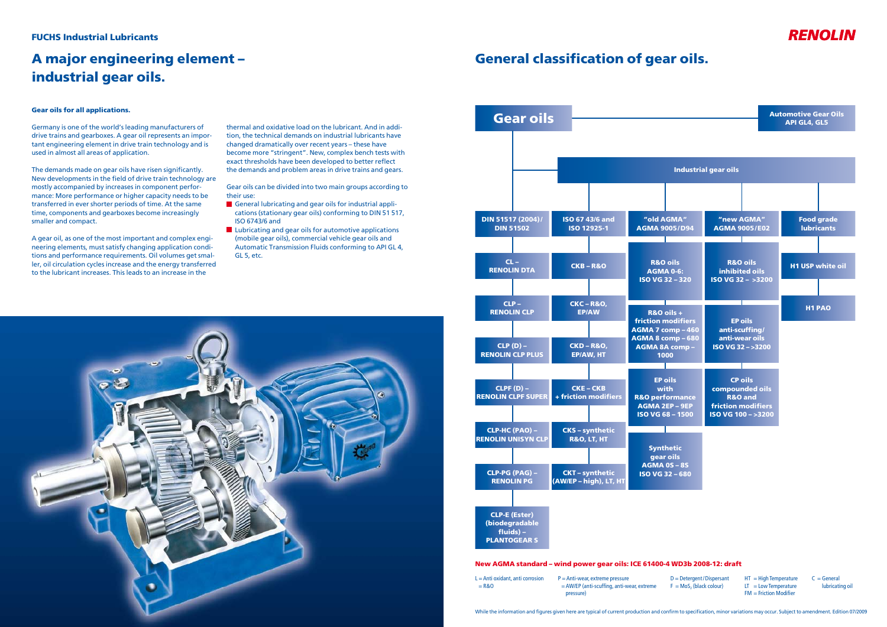### A major engineering element – industrial gear oils.



#### Gear oils for all applications.

Germany is one of the world's leading manufacturers of drive trains and gearboxes. A gear oil represents an important engineering element in drive train technology and is used in almost all areas of application.

The demands made on gear oils have risen significantly. New developments in the field of drive train technology are mostly accompanied by increases in component performance: More performance or higher capacity needs to be transferred in ever shorter periods of time. At the same time, components and gearboxes become increasingly smaller and compact.

A gear oil, as one of the most important and complex engineering elements, must satisfy changing application conditions and performance requirements. Oil volumes get smaller, oil circulation cycles increase and the energy transferred to the lubricant increases. This leads to an increase in the

- General lubricating and gear oils for industrial applications (stationary gear oils) conforming to DIN 51 517, ISO 6743/6 and
- $\blacksquare$  Lubricating and gear oils for automotive applications (mobile gear oils), commercial vehicle gear oils and Automatic Transmission Fluids conforming to API GL 4, GL 5, etc.



 $C =$ General lubricating oil

 $HT = High Temperature$  $LT = Low Temperature$ FM = Friction Modifier

D = Detergent/Dispersant  $F = MoS<sub>2</sub>$  (black colour)

thermal and oxidative load on the lubricant. And in addition, the technical demands on industrial lubricants have changed dramatically over recent years – these have become more "stringent". New, complex bench tests with exact thresholds have been developed to better reflect the demands and problem areas in drive trains and gears.

Gear oils can be divided into two main groups according to their use:

| $L =$ Anti oxidant, anti corrosion | $P =$ Anti-wear, extreme pressure            |
|------------------------------------|----------------------------------------------|
| $=$ R&O                            | $=$ AW/EP (anti-scuffing, anti-wear, extreme |
|                                    | pressure)                                    |

### General classification of gear oils.

#### New AGMA standard – wind power gear oils: ICE 61400-4 WD3b 2008-12: draft

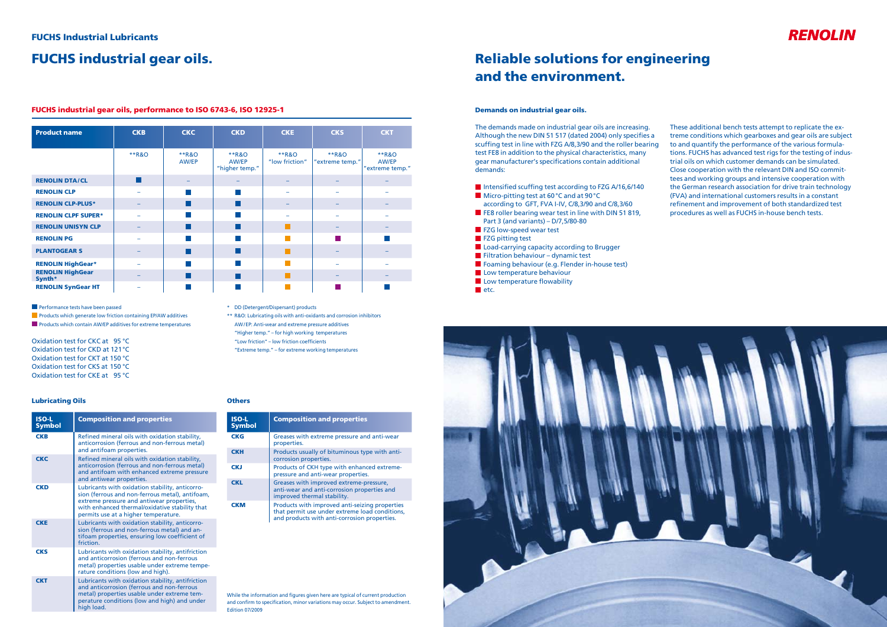### FUCHS industrial gear oils.

## Reliable solutions for engineering and the environment.

#### Demands on industrial gear oils.

The demands made on industrial gear oils are increasing. Although the new DIN 51 517 (dated 2004) only specifies a scuffing test in line with FZG A/8,3/90 and the roller bearing test FE8 in addition to the physical characteristics, many gear manufacturer's specifications contain additional demands:

- Intensified scuffing test according to FZG A/16,6/140
- Micro-pitting test at 60 °C and at 90 °C according to GFT, FVA I-IV, C/8,3/90 and C/8,3/60
- $\blacksquare$  FE8 roller bearing wear test in line with DIN 51 819, Part 3 (and variants) – D/7,5/80-80
- **FZG** low-speed wear test
- **FZG** pitting test
- **Load-carrying capacity according to Brugger**
- $\blacksquare$  Filtration behaviour dynamic test
- **Foaming behaviour (e.g. Flender in-house test)**
- $\blacksquare$  Low temperature behaviour  $\blacksquare$  Low temperature flowability
- etc.





These additional bench tests attempt to replicate the extreme conditions which gearboxes and gear oils are subject to and quantify the performance of the various formulations. FUCHS has advanced test rigs for the testing of industrial oils on which customer demands can be simulated. Close cooperation with the relevant DIN and ISO committees and working groups and intensive cooperation with the German research association for drive train technology (FVA) and international customers results in a constant refinement and improvement of both standardized test procedures as well as FUCHS in-house bench tests.

| <b>Product name</b>               | <b>CKB</b>               | <b>CKC</b>                | <b>CKD</b>                              | <b>CKE</b>                                                                                                           | <b>CKS</b>               | <b>CKT</b>                               |
|-----------------------------------|--------------------------|---------------------------|-----------------------------------------|----------------------------------------------------------------------------------------------------------------------|--------------------------|------------------------------------------|
|                                   | <b>**R&amp;O</b>         | <b>**R&amp;O</b><br>AW/EP | **R&O<br><b>AW/EP</b><br>"higher temp." | **R&O<br>"low friction"                                                                                              | **R&O<br>"extreme temp." | **R&O<br><b>AW/EP</b><br>"extreme temp." |
| <b>RENOLIN DTA/CL</b>             | l a                      | -                         |                                         |                                                                                                                      |                          |                                          |
| <b>RENOLIN CLP</b>                | $\overline{\phantom{a}}$ |                           |                                         | $\overline{\phantom{0}}$                                                                                             | $\overline{\phantom{0}}$ |                                          |
| <b>RENOLIN CLP-PLUS*</b>          |                          |                           |                                         |                                                                                                                      |                          |                                          |
| <b>RENOLIN CLPF SUPER*</b>        | $\overline{\phantom{a}}$ |                           |                                         | $\overline{\phantom{0}}$                                                                                             | $\overline{\phantom{0}}$ |                                          |
| <b>RENOLIN UNISYN CLP</b>         |                          |                           |                                         |                                                                                                                      |                          |                                          |
| <b>RENOLIN PG</b>                 | $\overline{\phantom{m}}$ |                           |                                         |                                                                                                                      |                          |                                          |
| <b>PLANTOGEAR S</b>               |                          |                           |                                         | <b>Contract Contract Contract Contract Contract Contract Contract Contract Contract Contract Contract Contract C</b> |                          |                                          |
| <b>RENOLIN HighGear*</b>          |                          |                           |                                         |                                                                                                                      |                          |                                          |
| <b>RENOLIN HighGear</b><br>Synth* |                          |                           |                                         |                                                                                                                      |                          |                                          |
| <b>RENOLIN SynGear HT</b>         |                          |                           |                                         |                                                                                                                      |                          |                                          |

**Performance tests have been passed** 

**Products which generate low friction containing EP/AW additives** 

**Products which contain AW/EP additives for extreme temperatures** 

| <b>ISO-L</b><br><b>Symbol</b> | <b>Composition and properties</b>                                                                                                                                                                                                         |
|-------------------------------|-------------------------------------------------------------------------------------------------------------------------------------------------------------------------------------------------------------------------------------------|
| <b>CKB</b>                    | Refined mineral oils with oxidation stability,<br>anticorrosion (ferrous and non-ferrous metal)<br>and antifoam properties.                                                                                                               |
| <b>CKC</b>                    | Refined mineral oils with oxidation stability,<br>anticorrosion (ferrous and non-ferrous metal)<br>and antifoam with enhanced extreme pressure<br>and antiwear properties.                                                                |
| <b>CKD</b>                    | Lubricants with oxidation stability, anticorro-<br>sion (ferrous and non-ferrous metal), antifoam,<br>extreme pressure and antiwear properties,<br>with enhanced thermal/oxidative stability that<br>permits use at a higher temperature. |
| <b>CKE</b>                    | Lubricants with oxidation stability, anticorro-<br>sion (ferrous and non-ferrous metal) and an-<br>tifoam properties, ensuring low coefficient of<br>friction.                                                                            |
| <b>CKS</b>                    | Lubricants with oxidation stability, antifriction<br>and anticorrosion (ferrous and non-ferrous<br>metal) properties usable under extreme tempe-<br>rature conditions (low and high).                                                     |
| <b>CKT</b>                    | Lubricants with oxidation stability, antifriction<br>and anticorrosion (ferrous and non-ferrous<br>metal) properties usable under extreme tem-<br>perature conditions (low and high) and under<br>high load.                              |

| <b>ISO-L</b><br><b>Symbol</b> | <b>Composition and properties</b>                                                                                                                |
|-------------------------------|--------------------------------------------------------------------------------------------------------------------------------------------------|
| <b>CKG</b>                    | Greases with extreme pressure and anti-wear<br>properties.                                                                                       |
| <b>CKH</b>                    | Products usually of bituminous type with anti-<br>corrosion properties.                                                                          |
| <b>CKJ</b>                    | Products of CKH type with enhanced extreme-<br>pressure and anti-wear properties.                                                                |
| <b>CKL</b>                    | Greases with improved extreme-pressure,<br>anti-wear and anti-corrosion properties and<br>improved thermal stability.                            |
| <b>CKM</b>                    | Products with improved anti-seizing properties<br>that permit use under extreme load conditions,<br>and products with anti-corrosion properties. |

#### FUCHS industrial gear oils, performance to ISO 6743-6, ISO 12925-1

Oxidation test for CKC at 95 °C Oxidation test for CKD at 121°C Oxidation test for CKT at 150 °C Oxidation test for CKS at 150 °C Oxidation test for CKE at 95 °C

#### **Lubricating Oils Community Community Community Community Community Community Community Community Community Community**

\* DD (Detergent/Dispersant) products

\*\* R&O: Lubricating oils with anti-oxidants and corrosion inhibitors AW/EP: Anti-wear and extreme pressure additives

"Higher temp." – for high working temperatures

- "Low friction" low friction coefficients
- "Extreme temp." for extreme working temperatures

While the information and figures given here are typical of current production and confirm to specification, minor variations may occur. Subject to amendment. Edition 07/2009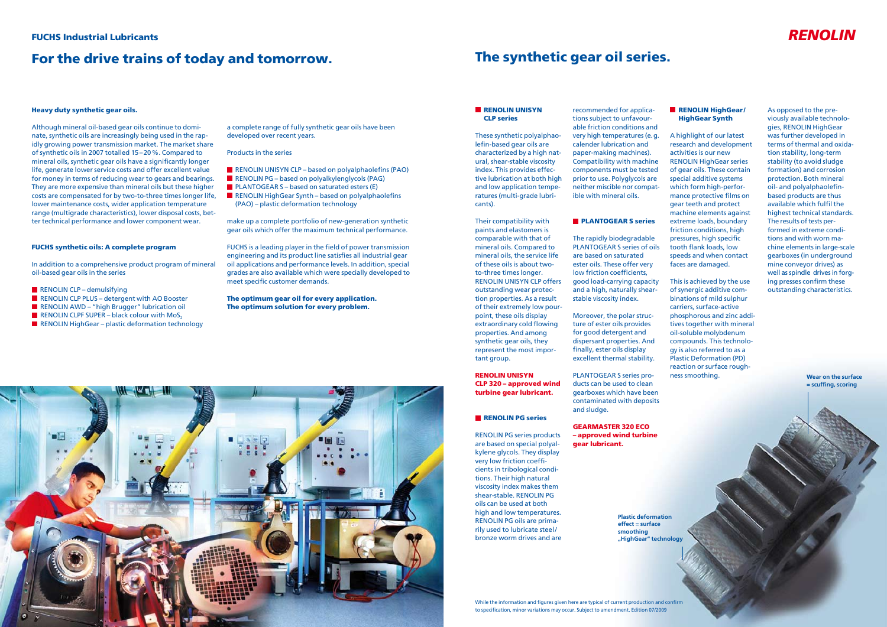### For the drive trains of today and tomorrow. The synthetic gear oil series.

### Heavy duty synthetic gear oils. The contract of the contract of the contract of the contract of the contract of the contract of the contract of the contract of the contract of the contract of the contract of the contract o

## CLP series

These synthetic polyalphaolefin-based gear oils are characterized by a high natural, shear-stable viscosity index. This provides effective lubrication at both high and low application temperatures (multi-grade lubricants).

Their compatibility with paints and elastomers is comparable with that of mineral oils. Compared to mineral oils, the service life of these oils is about twoto-three times longer. RENOLIN UNISYN CLP offers outstanding wear protection properties. As a result of their extremely low pourpoint, these oils display extraordinary cold flowing properties. And among synthetic gear oils, they represent the most important group.

#### RENOLIN UNISYN CLP 320 – approved wind turbine gear lubricant.

#### **RENOLIN PG series**

RENOLIN PG series products are based on special polyalkylene glycols. They display very low friction coefficients in tribological conditions. Their high natural viscosity index makes them shear-stable. RENOLIN PG oils can be used at both high and low temperatures. RENOLIN PG oils are primarily used to lubricate steel/ bronze worm drives and are

#### **RENOLIN HighGear/** HighGear Synth

Although mineral oil-based gear oils continue to dominate, synthetic oils are increasingly being used in the rapidly growing power transmission market. The market share of synthetic oils in 2007 totalled 15–20%. Compared to mineral oils, synthetic gear oils have a significantly longer life, generate lower service costs and offer excellent value for money in terms of reducing wear to gears and bearings. They are more expensive than mineral oils but these higher costs are compensated for by two-to-three times longer life, lower maintenance costs, wider application temperature range (multigrade characteristics), lower disposal costs, better technical performance and lower component wear.

#### FUCHS synthetic oils: A complete program

In addition to a comprehensive product program of mineral oil-based gear oils in the series

- $R$  RENOLIN CLP demulsifying
- **RENOLIN CLP PLUS detergent with AO Booster**
- **RENOLIN AWD "high Brugger" lubrication oil**
- RENOLIN CLPF SUPER black colour with MoS<sub>2</sub>
- $\blacksquare$  RENOLIN HighGear plastic deformation technology
- **RENOLIN UNISYN CLP** based on polyalphaolefins (PAO)
- RENOLIN PG based on polyalkylenglycols (PAG)
- $\blacksquare$  PLANTOGEAR S based on saturated esters (E)
- **RENOLIN HighGear Synth based on polyalphaolefins** (PAO) – plastic deformation technology

recommended for applications subject to unfavourable friction conditions and very high temperatures (e.g. calender lubrication and paper-making machines). Compatibility with machine components must be tested prior to use. Polyglycols are neither miscible nor compatible with mineral oils.

#### **PLANTOGEAR S series**

The rapidly biodegradable PLANTOGEAR S series of oils are based on saturated ester oils. These offer very low friction coefficients, good load-carrying capacity and a high, naturally shearstable viscosity index.

Moreover, the polar structure of ester oils provides for good detergent and dispersant properties. And finally, ester oils display excellent thermal stability.

PLANTOGEAR S series products can be used to clean gearboxes which have been contaminated with deposits and sludge.

#### Gearmaster 320 Eco – approved wind turbine gear lubricant.

A highlight of our latest research and development activities is our new RENOLIN HighGear series of gear oils. These contain special additive systems which form high-performance protective films on gear teeth and protect machine elements against extreme loads, boundary friction conditions, high pressures, high specific tooth flank loads, low speeds and when contact faces are damaged.

This is achieved by the use of synergic additive combinations of mild sulphur carriers, surface-active phosphorous and zinc additives together with mineral oil-soluble molybdenum compounds. This technology is also referred to as a Plastic Deformation (PD) reaction or surface roughness smoothing.

a complete range of fully synthetic gear oils have been developed over recent years.

#### Products in the series

make up a complete portfolio of new-generation synthetic gear oils which offer the maximum technical performance.

FUCHS is a leading player in the field of power transmission engineering and its product line satisfies all industrial gear oil applications and performance levels. In addition, special grades are also available which were specially developed to meet specific customer demands.

#### The optimum gear oil for every application. The optimum solution for every problem.



As opposed to the previously available technologies, RENOLIN HighGear was further developed in terms of thermal and oxidation stability, long-term stability (to avoid sludge formation) and corrosion protection. Both mineral oil- and polyalphaolefinbased products are thus available which fulfil the highest technical standards. The results of tests performed in extreme conditions and with worn machine elements in large-scale gearboxes (in underground mine conveyor drives) as well as spindle drives in forging presses confirm these outstanding characteristics.



**Plastic deformation effect = surface smoothing "HighGear" technology** **Wear on the surface = scuffing, scoring**

While the information and figures given here are typical of current production and confirm to specification, minor variations may occur. Subject to amendment. Edition 07/2009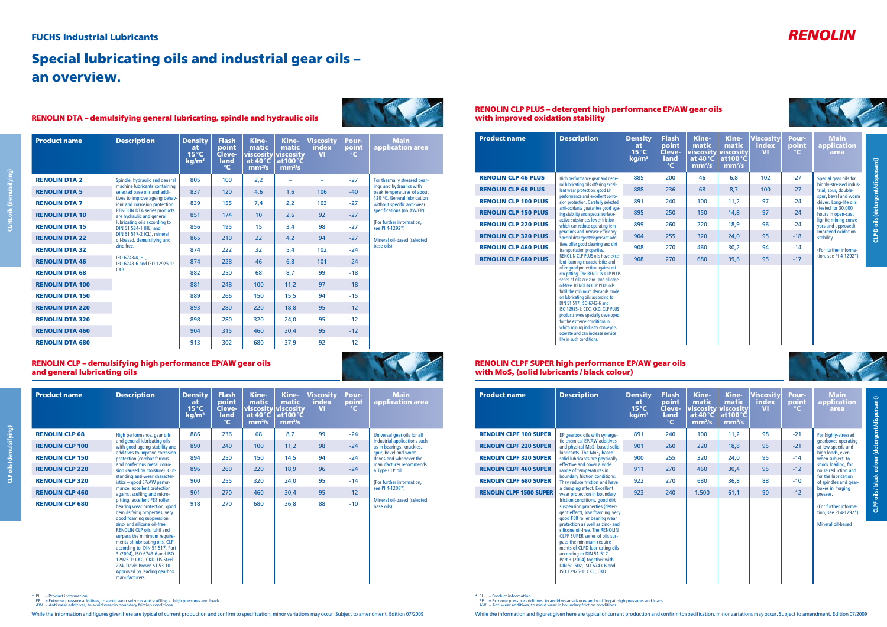| <b>Product name</b>            | <b>Description</b>                                                                                                                                                                                                                                                                                                                                                                                                                 | <b>Density</b><br>at.<br>$15^{\circ}$ C<br>kg/m <sup>3</sup> | <b>Flash</b><br>point<br>Cleve-<br>land<br>$\rm ^{\circ}C$ | Kine-<br>matic<br>viscosity viscosity<br>at 40 $^{\circ}$ C<br>mm <sup>2</sup> /s | <b>Kine-</b><br>matic<br>at100 $^{\circ}$ C<br>mm <sup>2</sup> /s | <b>Viscosity</b><br>index<br>$\overline{\mathbf{V}}$ | Pour-<br>point<br>$^{\circ}$ C | <b>Main</b><br>application<br>area                                  |
|--------------------------------|------------------------------------------------------------------------------------------------------------------------------------------------------------------------------------------------------------------------------------------------------------------------------------------------------------------------------------------------------------------------------------------------------------------------------------|--------------------------------------------------------------|------------------------------------------------------------|-----------------------------------------------------------------------------------|-------------------------------------------------------------------|------------------------------------------------------|--------------------------------|---------------------------------------------------------------------|
| <b>RENOLIN CLPF 100 SUPER</b>  | EP gearbox oils with synerge-<br>tic chemical EP/AW additives                                                                                                                                                                                                                                                                                                                                                                      | 891                                                          | 240                                                        | 100                                                                               | 11.2                                                              | 98                                                   | $-21$                          | For highly-stressed                                                 |
| <b>RENOLIN CLPF 220 SUPER</b>  | and physical MoS <sub>2</sub> -based solid                                                                                                                                                                                                                                                                                                                                                                                         | 901                                                          | 260                                                        | 220                                                                               | 18,8                                                              | 95                                                   | $-21$                          | gearboxes operating<br>at low speeds and                            |
| <b>RENOLIN CLPF 320 SUPER</b>  | lubricants. The MoS <sub>2</sub> -based<br>solid lubricants are physically                                                                                                                                                                                                                                                                                                                                                         | 900                                                          | 255                                                        | 320                                                                               | 24,0                                                              | 95                                                   | $-14$                          | high loads, even<br>when subject to                                 |
| <b>RENOLIN CLPF 460 SUPER</b>  | effective and cover a wide<br>range of temperatures in<br>boundary friction conditions.<br>They reduce friction and have<br>a damping effect. Excellent<br>wear protection in boundary                                                                                                                                                                                                                                             | 911                                                          | 270                                                        | 460                                                                               | 30,4                                                              | 95                                                   | $-12$                          | shock loading, for<br>noise reduction and                           |
| <b>RENOLIN CLPF 680 SUPER</b>  |                                                                                                                                                                                                                                                                                                                                                                                                                                    | 922                                                          | 270                                                        | 680                                                                               | 36,8                                                              | 88                                                   | $-10$                          | for the lubrication<br>of spindles and gear-                        |
| <b>RENOLIN CLPF 1500 SUPER</b> |                                                                                                                                                                                                                                                                                                                                                                                                                                    | 923                                                          | 240                                                        | 1.500                                                                             | 61,1                                                              | 90                                                   | $-12$                          | boxes in forging<br>presses.                                        |
|                                | friction conditions, good dirt<br>suspension properties (deter-<br>gent effect), low foaming, very<br>good FE8 roller bearing wear<br>protection as well as zinc- and<br>silicone oil-free. The RENOLIN<br><b>CLPF SUPER series of oils sur-</b><br>pass the minimum require-<br>ments of CLPD lubricating oils<br>according to DIN 51 517,<br>Part 3 (2004) together with<br>DIN 51 502, ISO 6743-6 and<br>ISO 12925-1: CKC. CKD. |                                                              |                                                            |                                                                                   |                                                                   |                                                      |                                | (For further informa-<br>tion, see PI 4-1292*)<br>Mineral oil-based |

\* PI = Product information<br>EP = Extreme pressure additives, to avoid wear seizures and scuffing at high pressures and loads<br>AW = Anti wear additives, to avoid wear in boundary friction conditions

While the information and figures given here are typical of current production and confirm to specification, minor variations may occur. Subject to amendment. Edition 07/2009 While the information and figures given here ar

\* PI = Product information<br>EP = Extreme pressure additives, to avoid wear seizures and scuffing at high pressures and loads<br>AW = Anti wear additives, to avoid wear in boundary friction conditions

#### RENOLIN CLPF SUPER high performance EP/AW gear oils with  $MoS<sub>2</sub>$  (solid lubricants / black colour)

| <b>Product name</b>    | <b>Description</b>                                                                                                                                                                                                                                                                                                                                                                                                                                  | <b>Density</b><br><b>at</b><br>$15^{\circ}$ C<br>kg/m <sup>3</sup> | <b>Flash</b><br>point<br>Cleve-<br>land<br>$^{\circ}$ C | Kine-<br>matic<br>viscosity viscosity<br>at $40^{\circ}$ C<br>mm <sup>2</sup> /s | Kine-<br>matic<br>at $100^{\circ}$ C<br>mm <sup>2</sup> /s | <b>Viscosity</b><br>index<br><b>VI</b> | Pour-<br>point<br>$^{\circ}$ C | <b>Main</b><br>application area                           |
|------------------------|-----------------------------------------------------------------------------------------------------------------------------------------------------------------------------------------------------------------------------------------------------------------------------------------------------------------------------------------------------------------------------------------------------------------------------------------------------|--------------------------------------------------------------------|---------------------------------------------------------|----------------------------------------------------------------------------------|------------------------------------------------------------|----------------------------------------|--------------------------------|-----------------------------------------------------------|
| <b>RENOLIN CLP 68</b>  | High performance, gear oils                                                                                                                                                                                                                                                                                                                                                                                                                         | 886                                                                | 236                                                     | 68                                                                               | 8,7                                                        | 99                                     | $-24$                          | Universal gear oils for all                               |
| <b>RENOLIN CLP 100</b> | and general lubricating oils<br>with good ageing stability and                                                                                                                                                                                                                                                                                                                                                                                      | 890                                                                | 240                                                     | 100                                                                              | 11,2                                                       | 98                                     | $-24$                          | industrial applications such<br>as in bearings, knuckles, |
| <b>RENOLIN CLP 150</b> | additives to improve corrosion<br>protection (combat ferrous<br>and nonferrous metal corro-<br>sion caused by moisture). Out-<br>standing anti-wear character-<br>istics - good EP/AW perfor-<br>mance, excellent protection<br>against scuffing and micro-                                                                                                                                                                                         | 894                                                                | 250                                                     | 150                                                                              | 14,5                                                       | 94                                     | $-24$                          | spur, bevel and worm<br>drives and whenever the           |
| <b>RENOLIN CLP 220</b> |                                                                                                                                                                                                                                                                                                                                                                                                                                                     | 896                                                                | 260                                                     | 220                                                                              | 18,9                                                       | 96                                     | $-24$                          | manufacturer recommends<br>a Type CLP oil.                |
| <b>RENOLIN CLP 320</b> |                                                                                                                                                                                                                                                                                                                                                                                                                                                     | 900                                                                | 255                                                     | 320                                                                              | 24,0                                                       | 95                                     | $-14$                          | (For further information,<br>see PI 4-1208*)              |
| <b>RENOLIN CLP 460</b> |                                                                                                                                                                                                                                                                                                                                                                                                                                                     | 901                                                                | 270                                                     | 460                                                                              | 30,4                                                       | 95                                     | $-12$                          |                                                           |
| <b>RENOLIN CLP 680</b> | pitting, excellent FE8 roller<br>bearing wear protection, good<br>demulsifying properties, very<br>good foaming suppression,<br>zinc- and silicone oil-free.<br><b>RENOLIN CLP oils fulfil and</b><br>surpass the minimum require-<br>ments of lubricating oils. CLP<br>according to DIN 51 517, Part<br>3 (2004), ISO 6743-6 and ISO<br>12925-1: CKC, CKD. US Steel<br>224, David Brown S1.53.10.<br>Approved by leading gearbox<br>manufacturers. | 918                                                                | 270                                                     | 680                                                                              | 36,8                                                       | 88                                     | $-10$                          | Mineral oil-based (selected<br>base oils)                 |

#### RENOLIN CLP – demulsifying high performance EP/AW gear oils and general lubricating oils

| <b>Product name</b>         | <b>Description</b>                                                                                                                                                                                                                                                                                                                                                                                                                                                  | <b>Density</b><br>at<br>$15^{\circ}$ C<br>kg/m <sup>3</sup> | <b>Flash</b><br>point<br>Cleve-<br>land<br>$^{\circ}$ C | <b>Kine-</b><br>matic<br>at 40 $^{\circ}$ C $^{\circ}$<br>mm <sup>2</sup> /s | Kine-<br>matic<br>viscosity viscosity<br>at100 $^{\circ}$ C<br>mm <sup>2</sup> /s | <b>Viscosity</b><br><b>index</b><br>$\overline{\mathsf{v}}$ | Pour-<br>point<br>$\mathbf{C}$ | <b>Main</b><br>application<br>area             |                                      |
|-----------------------------|---------------------------------------------------------------------------------------------------------------------------------------------------------------------------------------------------------------------------------------------------------------------------------------------------------------------------------------------------------------------------------------------------------------------------------------------------------------------|-------------------------------------------------------------|---------------------------------------------------------|------------------------------------------------------------------------------|-----------------------------------------------------------------------------------|-------------------------------------------------------------|--------------------------------|------------------------------------------------|--------------------------------------|
| <b>RENOLIN CLP 46 PLUS</b>  | High performance gear and gene-                                                                                                                                                                                                                                                                                                                                                                                                                                     | 885                                                         | 200                                                     | 46                                                                           | 6,8                                                                               | 102                                                         | $-27$                          | Special gear oils for                          |                                      |
| <b>RENOLIN CLP 68 PLUS</b>  | ral lubricating oils offering excel-<br>lent wear protection, good EP                                                                                                                                                                                                                                                                                                                                                                                               | 888                                                         | 236                                                     | 68                                                                           | 8,7                                                                               | 100                                                         | $-27$                          | highly-stressed indus-<br>trial, spur, double- |                                      |
| <b>RENOLIN CLP 100 PLUS</b> | performance and excellent corro-<br>sion protection. Carefully selected                                                                                                                                                                                                                                                                                                                                                                                             | 891                                                         | 240                                                     | 100                                                                          | 11,2                                                                              | 97                                                          | $-24$                          | spur, bevel and worm<br>drives. Long-life oils |                                      |
| <b>RENOLIN CLP 150 PLUS</b> | anti-oxidants quarantee good age-<br>ing stability and special surface-                                                                                                                                                                                                                                                                                                                                                                                             | 895                                                         | 250                                                     | 150                                                                          | 14,8                                                                              | 97                                                          | $-24$                          | (tested for 30,000<br>hours in open-cast       | oils (detergent/dispersant)<br>G-q1D |
| <b>RENOLIN CLP 220 PLUS</b> | active substances lower friction<br>which can reduce operating tem-                                                                                                                                                                                                                                                                                                                                                                                                 | 899                                                         | 260                                                     | 220                                                                          | 18,9                                                                              | 96                                                          | $-24$                          | lignite mining conve-<br>yors and approved).   |                                      |
| <b>RENOLIN CLP 320 PLUS</b> | peratures and increase efficiency.<br>Special detergent/dispersant addi-                                                                                                                                                                                                                                                                                                                                                                                            | 904                                                         | 255                                                     | 320                                                                          | 24,0                                                                              | 95                                                          | $-18$                          | <b>Improved oxidation</b><br>stability.        |                                      |
| <b>RENOLIN CLP 460 PLUS</b> | tives offer good cleaning and dirt<br>transportation properties.                                                                                                                                                                                                                                                                                                                                                                                                    | 908                                                         | 270                                                     | 460                                                                          | 30,2                                                                              | 94                                                          | $-14$                          | (For further informa-                          |                                      |
| <b>RENOLIN CLP 680 PLUS</b> | <b>RENOLIN CLP PLUS oils have excel-</b><br>lent foaming characteristics and                                                                                                                                                                                                                                                                                                                                                                                        | 908                                                         | 270                                                     | 680                                                                          | 39,6                                                                              | 95                                                          | $-17$                          | tion, see PI 4-1292*)                          |                                      |
|                             | offer good protection against mi-<br>cro-pitting. The RENOLIN CLP PLUS<br>series of oils are zinc- and silicone<br>oil-free, RENOLIN CLP PLUS oils<br>fulfil the minimum demands made<br>on lubricating oils according to<br>DIN 51 517, ISO 6743-6 and<br>ISO 12925-1: CKC, CKD, CLP PLUS<br>products were specially developed<br>for the extreme conditions in<br>which mining industry conveyors<br>operate and can increase service<br>life in such conditions. |                                                             |                                                         |                                                                              |                                                                                   |                                                             |                                |                                                |                                      |

| <b>Product name</b>    | <b>Description</b>                                                                                                                                                                                                                                     | <b>Density</b><br>at.<br>$15^{\circ}$ C<br>kg/m <sup>3</sup> | <b>Flash</b><br>point<br><b>Cleve-</b><br>land<br>$^{\circ}$ C | Kine-<br>matic<br>at $40^{\circ}$ C<br>mm <sup>2</sup> /s | <b>Kine-</b><br>matic<br>viscosity viscosity<br>at100 $^{\circ}$ C<br>mm <sup>2</sup> /s | <b>Viscosity</b><br>index<br>$\overline{\mathbf{V}}$ | Pour-<br>point | <b>Main</b><br>application area                                                                                         |
|------------------------|--------------------------------------------------------------------------------------------------------------------------------------------------------------------------------------------------------------------------------------------------------|--------------------------------------------------------------|----------------------------------------------------------------|-----------------------------------------------------------|------------------------------------------------------------------------------------------|------------------------------------------------------|----------------|-------------------------------------------------------------------------------------------------------------------------|
| <b>RENOLIN DTA 2</b>   | Spindle, hydraulic and general                                                                                                                                                                                                                         | 805                                                          | 100                                                            | 2,2                                                       | $\overline{\phantom{0}}$                                                                 | -                                                    | $-27$          | For thermally stressed bear-                                                                                            |
| <b>RENOLIN DTA 5</b>   | machine lubricants containing<br>selected base oils and addi-                                                                                                                                                                                          | 837                                                          | 120                                                            | 4,6                                                       | 1,6                                                                                      | 106                                                  | $-40$          | ings and hydraulics with<br>peak temperatures of about                                                                  |
| <b>RENOLIN DTA 7</b>   | tives to improve ageing behav-<br>iour and corrosion protection.                                                                                                                                                                                       | 839                                                          | 155                                                            | 7,4                                                       | 2,2                                                                                      | 103                                                  | $-27$          | 120 °C. General lubrication<br>without specific anti-wear                                                               |
| <b>RENOLIN DTA 10</b>  | <b>RENOLIN DTA series products</b><br>are hydraulic and general<br>lubricating oils according to<br>DIN 51 524-1 (HL) and<br>DIN 51 517-2 (CL), mineral<br>oil-based, demulsifying and<br>zinc-free.<br>ISO 6743/4, HL,<br>ISO 6743-6 and ISO 12925-1: | 851                                                          | 174                                                            | 10                                                        | 2,6                                                                                      | 92                                                   | $-27$          | specifications (no AW/EP).<br>(For further information,<br>see PI 4-1292*)<br>Mineral oil-based (selected<br>base oils) |
| <b>RENOLIN DTA 15</b>  |                                                                                                                                                                                                                                                        | 856                                                          | 195                                                            | 15                                                        | 3,4                                                                                      | 98                                                   | $-27$          |                                                                                                                         |
| <b>RENOLIN DTA 22</b>  |                                                                                                                                                                                                                                                        | 865                                                          | 210                                                            | 22                                                        | 4,2                                                                                      | 94                                                   | $-27$          |                                                                                                                         |
| <b>RENOLIN DTA 32</b>  |                                                                                                                                                                                                                                                        | 874                                                          | 222                                                            | 32                                                        | 5,4                                                                                      | 102                                                  | $-24$          |                                                                                                                         |
| <b>RENOLIN DTA 46</b>  |                                                                                                                                                                                                                                                        | 874                                                          | 228                                                            | 46                                                        | 6,8                                                                                      | 101                                                  | $-24$          |                                                                                                                         |
| <b>RENOLIN DTA 68</b>  | CKB.                                                                                                                                                                                                                                                   | 882                                                          | 250                                                            | 68                                                        | 8,7                                                                                      | 99                                                   | $-18$          |                                                                                                                         |
| <b>RENOLIN DTA 100</b> |                                                                                                                                                                                                                                                        | 881                                                          | 248                                                            | 100                                                       | 11,2                                                                                     | 97                                                   | $-18$          |                                                                                                                         |
| <b>RENOLIN DTA 150</b> |                                                                                                                                                                                                                                                        | 889                                                          | 266                                                            | 150                                                       | 15,5                                                                                     | 94                                                   | $-15$          |                                                                                                                         |
| <b>RENOLIN DTA 220</b> |                                                                                                                                                                                                                                                        | 893                                                          | 280                                                            | 220                                                       | 18,8                                                                                     | 95                                                   | $-12$          |                                                                                                                         |
| <b>RENOLIN DTA 320</b> |                                                                                                                                                                                                                                                        | 898                                                          | 280                                                            | 320                                                       | 24,0                                                                                     | 95                                                   | $-12$          |                                                                                                                         |
| <b>RENOLIN DTA 460</b> |                                                                                                                                                                                                                                                        | 904                                                          | 315                                                            | 460                                                       | 30,4                                                                                     | 95                                                   | $-12$          |                                                                                                                         |
| <b>RENOLIN DTA 680</b> |                                                                                                                                                                                                                                                        | 913                                                          | 302                                                            | 680                                                       | 37,9                                                                                     | 92                                                   | $-12$          |                                                                                                                         |



#### RENOLIN DTA – demulsifying general lubricating, spindle and hydraulic oils

### RENOLIN CLP PLUS – detergent high performance EP/AW gear oils with improved oxidation stability

### FUCHS Industrial Lubricants

### Special lubricating oils and industrial gear oils – an overview.

## *RENOLIn*

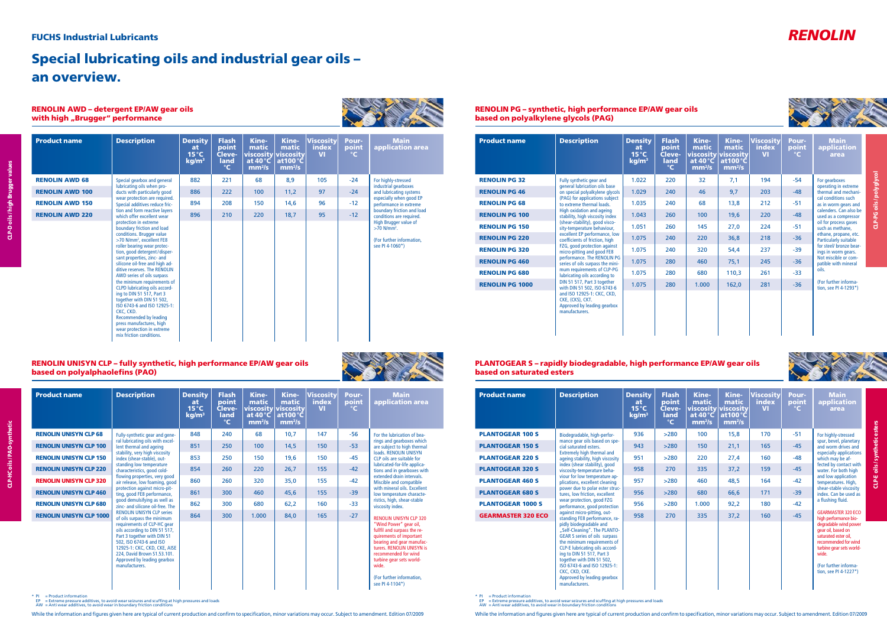## Special lubricating oils and industrial gear oils – an overview.

## *RENOLIn*

| <b>Product name</b>    | <b>Description</b>                                                                                                                                                                                                                                                                                                                                                                                                                                                                                                                                                                                                                                                                                                                                                                                                                                        | <b>Density</b><br>at<br>$15^{\circ}$ C<br>kg/m <sup>3</sup> | <b>Flash</b><br>point<br><b>Cleve-</b><br>land<br>$\rm ^{\circ}C$ | <b>Kine-</b><br>matic<br>at $40^{\circ}$ C<br>mm <sup>2</sup> /s | <b>Kine-</b><br>matic<br>viscosity viscosity<br>at $100^{\circ}$ C<br>mm <sup>2</sup> /s | <b>Viscosity</b><br><b>index</b><br>$\overline{\mathbf{V}}$ | Pour-<br>point<br>$\mathcal{C}$ | <b>Main</b><br>application area                                                                                                                              |
|------------------------|-----------------------------------------------------------------------------------------------------------------------------------------------------------------------------------------------------------------------------------------------------------------------------------------------------------------------------------------------------------------------------------------------------------------------------------------------------------------------------------------------------------------------------------------------------------------------------------------------------------------------------------------------------------------------------------------------------------------------------------------------------------------------------------------------------------------------------------------------------------|-------------------------------------------------------------|-------------------------------------------------------------------|------------------------------------------------------------------|------------------------------------------------------------------------------------------|-------------------------------------------------------------|---------------------------------|--------------------------------------------------------------------------------------------------------------------------------------------------------------|
| <b>RENOLIN AWD 68</b>  | Special gearbox and general<br>lubricating oils when pro-<br>ducts with particularly good<br>wear protection are required.<br>Special additives reduce fric-<br>tion and form reactive layers<br>which offer excellent wear<br>protection in extreme<br>boundary friction and load<br>conditions. Brugger value<br>>70 N/mm <sup>2</sup> , excellent FE8<br>roller bearing wear protec-<br>tion, good detergent/disper-<br>sant properties, zinc- and<br>silicone oil-free and high ad-<br>ditive reserves. The RENOLIN<br>AWD series of oils surpass<br>the minimum requirements of<br><b>CLPD lubricating oils accord-</b><br>ing to DIN 51 517, Part 3<br>together with DIN 51 502,<br>ISO 6743-6 and ISO 12925-1:<br>CKC, CKD.<br><b>Recommended by leading</b><br>press manufactures, high<br>wear protection in extreme<br>mix friction conditions. | 882                                                         | 221                                                               | 68                                                               | 8,9                                                                                      | 105                                                         | $-24$                           | For highly-stressed                                                                                                                                          |
| <b>RENOLIN AWD 100</b> |                                                                                                                                                                                                                                                                                                                                                                                                                                                                                                                                                                                                                                                                                                                                                                                                                                                           | 886                                                         | 222                                                               | 100                                                              | 11,2                                                                                     | 97                                                          | $-24$                           | industrial gearboxes<br>and lubricating systems                                                                                                              |
| <b>RENOLIN AWD 150</b> |                                                                                                                                                                                                                                                                                                                                                                                                                                                                                                                                                                                                                                                                                                                                                                                                                                                           | 894                                                         | 208                                                               | 150                                                              | 14,6                                                                                     | 96                                                          | $-12$                           | especially when good EP<br>performance in extreme                                                                                                            |
| <b>RENOLIN AWD 220</b> |                                                                                                                                                                                                                                                                                                                                                                                                                                                                                                                                                                                                                                                                                                                                                                                                                                                           | 896                                                         | 210                                                               | 220                                                              | 18,7                                                                                     | 95                                                          | $-12$                           | boundary friction and load<br>conditions are required.<br>High Brugger value of<br>$>70$ N/mm <sup>2</sup> .<br>(For further information,<br>see PI 4-1060*) |
|                        |                                                                                                                                                                                                                                                                                                                                                                                                                                                                                                                                                                                                                                                                                                                                                                                                                                                           |                                                             |                                                                   |                                                                  |                                                                                          |                                                             |                                 |                                                                                                                                                              |

| <b>Product name</b>            | <b>Description</b>                                                                                                                                                                                                                                                                                        | <b>Density</b><br>at<br>$15^{\circ}$ C<br>kg/m <sup>3</sup> | <b>Flash</b><br>point<br>Cleve-<br>land<br>$\rm ^{\circ}C$ | Kine-<br>matic<br>at $40^{\circ}$ C<br>mm <sup>2</sup> /s | <b>Kine-</b><br>matic<br>viscosity viscosity<br>at $100^{\circ}$ C $ $<br>mm <sup>2</sup> /s | <b>Viscosity</b><br>index<br>$\overline{\mathbf{V}}$ | Pour-<br>point | <b>Main</b><br>application area                                                                                                                                                                                                                                                          |
|--------------------------------|-----------------------------------------------------------------------------------------------------------------------------------------------------------------------------------------------------------------------------------------------------------------------------------------------------------|-------------------------------------------------------------|------------------------------------------------------------|-----------------------------------------------------------|----------------------------------------------------------------------------------------------|------------------------------------------------------|----------------|------------------------------------------------------------------------------------------------------------------------------------------------------------------------------------------------------------------------------------------------------------------------------------------|
| <b>RENOLIN UNISYN CLP 68</b>   | Fully-synthetic gear and gene-                                                                                                                                                                                                                                                                            | 848                                                         | 240                                                        | 68                                                        | 10,7                                                                                         | 147                                                  | $-56$          | For the lubrication of bea-                                                                                                                                                                                                                                                              |
| <b>RENOLIN UNISYN CLP 100</b>  | ral lubricating oils with excel-<br>lent thermal and ageing                                                                                                                                                                                                                                               | 851                                                         | 250                                                        | 100                                                       | 14,5                                                                                         | 150                                                  | $-53$          | rings and gearboxes which<br>are subject to high thermal                                                                                                                                                                                                                                 |
| <b>RENOLIN UNISYN CLP 150</b>  | stability, very high viscosity<br>index (shear-stable), out-<br>standing low temperature<br>characteristics, good cold-<br>flowing properties, very good<br>air release, low foaming, good<br>protection against micro-pit-<br>ting, good FE8 performance,                                                | 853                                                         | 250                                                        | 150                                                       | 19,6                                                                                         | 150                                                  | $-45$          | loads, RENOLIN UNISYN<br>CLP oils are suitable for                                                                                                                                                                                                                                       |
| <b>RENOLIN UNISYN CLP 220</b>  |                                                                                                                                                                                                                                                                                                           | 854                                                         | 260                                                        | 220                                                       | 26,7                                                                                         | 155                                                  | $-42$          | lubricated-for-life applica-<br>tions and in gearboxes with                                                                                                                                                                                                                              |
| <b>RENOLIN UNISYN CLP 320</b>  |                                                                                                                                                                                                                                                                                                           | 860                                                         | 260                                                        | 320                                                       | 35,0                                                                                         | 155                                                  | $-42$          | extended drain intervals.<br>Miscible and compatible<br>with mineral oils. Excellent<br>low temperature characte-                                                                                                                                                                        |
| <b>RENOLIN UNISYN CLP 460</b>  |                                                                                                                                                                                                                                                                                                           | 861                                                         | 300                                                        | 460                                                       | 45,6                                                                                         | 155                                                  | $-39$          |                                                                                                                                                                                                                                                                                          |
| <b>RENOLIN UNISYN CLP 680</b>  | good demulsifying as well as<br>zinc- and silicone oil-free. The                                                                                                                                                                                                                                          | 862                                                         | 300                                                        | 680                                                       | 62,2                                                                                         | 160                                                  | $-33$          | ristics, high, shear-stable<br>viscosity index.                                                                                                                                                                                                                                          |
| <b>RENOLIN UNISYN CLP 1000</b> | <b>RENOLIN UNISYN CLP series</b><br>of oils surpass the minimum<br>requirements of CLP-HC gear<br>oils according to DIN 51 517,<br>Part 3 together with DIN 51<br>502, ISO 6743-6 and ISO<br>12925-1: CKC, CKD, CKE, AISE<br>224. David Brown S1.53.101.<br>Approved by leading gearbox<br>manufacturers. | 864                                                         | 300                                                        | 1.000                                                     | 84,0                                                                                         | 165                                                  | $-27$          | <b>RENOLIN UNISYN CLP 320</b><br>"Wind Power" gear oil,<br>fullfil and surpass the re-<br>quirements of important<br>bearing and gear manufac-<br>turers. RENOLIN UNISYN is<br>recommended for wind<br>turbine gear sets world-<br>wide.<br>(For further information.<br>see PI 4-1104*) |

\* PI = Product information<br>EP = Extreme pressure additives, to avoid wear seizures and scuffing at high pressures and loads<br>AW = Anti wear additives, to avoid wear in boundary friction conditions

While the information and figures given here are typical of current production and confirm to specification, minor variations may occur. Subject to amendment. Edition 07/2009 While the information and figures given here ar



### RENOLIN AWD – detergent EP/AW gear oils with high "Brugger" performance

| <b>Product name</b>       | <b>Description</b>                                                                                                                                                                                                                                                                                                                                                                                  | <b>Density</b><br><b>at</b><br>$15^{\circ}$ C<br>kg/m <sup>3</sup> | <b>Flash</b><br>point<br>Cleve-<br>land<br>$^{\circ}$ C | Kine-<br>matic<br>viscosity<br>at 40 $^{\circ}$ C<br>mm <sup>2</sup> /s | <b>Kine-</b><br>matic<br>viscosity<br>at100 $^{\circ}$ C<br>mm <sup>2</sup> /s | <b>Viscosity</b><br>index<br>VI | Pour-<br>point<br>$\sim$ | <b>Main</b><br>application<br>area                                                                                                                                                                                                       |                      |
|---------------------------|-----------------------------------------------------------------------------------------------------------------------------------------------------------------------------------------------------------------------------------------------------------------------------------------------------------------------------------------------------------------------------------------------------|--------------------------------------------------------------------|---------------------------------------------------------|-------------------------------------------------------------------------|--------------------------------------------------------------------------------|---------------------------------|--------------------------|------------------------------------------------------------------------------------------------------------------------------------------------------------------------------------------------------------------------------------------|----------------------|
| <b>PLANTOGEAR 100 S</b>   | Biodegradable, high-perfor-                                                                                                                                                                                                                                                                                                                                                                         | 936                                                                | >280                                                    | 100                                                                     | 15,8                                                                           | 170                             | $-51$                    | For highly-stressed                                                                                                                                                                                                                      | oils/syntheticesters |
| <b>PLANTOGEAR 150 S</b>   | mance gear oils based on spe-<br>cial saturated esters.                                                                                                                                                                                                                                                                                                                                             | 943                                                                | >280                                                    | 150                                                                     | 21,1                                                                           | 165                             | $-45$                    | spur, bevel, planetary<br>and worm drives and                                                                                                                                                                                            |                      |
| <b>PLANTOGEAR 220 S</b>   | <b>Extremely high thermal and</b><br>ageing stability, high viscosity                                                                                                                                                                                                                                                                                                                               | 951                                                                | >280                                                    | 220                                                                     | 27,4                                                                           | 160                             | $-48$                    | especially applications<br>which may be af-                                                                                                                                                                                              |                      |
| <b>PLANTOGEAR 320 S</b>   | index (shear stability), good<br>viscosity-temperature beha-<br>viour for low temperature ap-<br>plications, excellent cleaning<br>power due to polar ester struc-<br>tures, low friction, excellent<br>wear protection, good FZG<br>performance, good protection                                                                                                                                   | 958                                                                | 270                                                     | 335                                                                     | 37,2                                                                           | 159                             | $-45$                    | fected by contact with<br>water. For both high                                                                                                                                                                                           |                      |
| <b>PLANTOGEAR 460 S</b>   |                                                                                                                                                                                                                                                                                                                                                                                                     | 957                                                                | >280                                                    | 460                                                                     | 48,5                                                                           | 164                             | $-42$                    | and low application<br>temperatures. High,                                                                                                                                                                                               | CLP-E                |
| <b>PLANTOGEAR 680 S</b>   |                                                                                                                                                                                                                                                                                                                                                                                                     | 956                                                                | $>280$                                                  | 680                                                                     | 66,6                                                                           | 171                             | $-39$                    | shear-stable viscosity<br>index. Can be used as                                                                                                                                                                                          |                      |
| <b>PLANTOGEAR 1000 S</b>  |                                                                                                                                                                                                                                                                                                                                                                                                     | 956                                                                | >280                                                    | 1.000                                                                   | 92,2                                                                           | 180                             | $-42$                    | a flushing fluid.                                                                                                                                                                                                                        |                      |
| <b>GEARMASTER 320 ECO</b> | against micro-pitting, out-<br>standing FE8 performance, ra-<br>pidly biodegradable and<br>"Self-Cleaning". The PLANTO-<br><b>GEAR S series of oils surpass</b><br>the minimum requirements of<br><b>CLP-E lubricating oils accord-</b><br>ing to DIN 51 517, Part 3<br>together with DIN 51 502,<br>ISO 6743-6 and ISO 12925-1:<br>CKC, CKD, CKE.<br>Approved by leading gearbox<br>manufacturers. | 958                                                                | 270                                                     | 335                                                                     | 37,2                                                                           | 160                             | $-45$                    | <b>GEARMASTER 320 ECO</b><br>high performance bio-<br>degradable wind power<br>gear oil, based on<br>saturated ester oil.<br>recommended for wind<br>turbine gear sets world-<br>wide.<br>(For further informa-<br>tion, see PI 4-1227*) |                      |

\* PI = Product information<br>EP = Extreme pressure additives, to avoid wear seizures and scuffing at high pressures and loads<br>AW = Anti wear additives, to avoid wear in boundary friction conditions

| <b>Product name</b>    | <b>Description</b>                                                                                                                                                                                                                                                                                                                                              | <b>Density</b><br><b>at</b><br>$15^{\circ}$ C<br>kg/m <sup>3</sup> | <b>Flash</b><br>point<br>Cleve-<br>land<br>$\rm ^{\circ}C$ | Kine-<br>matic<br>at $40^{\circ}$ C<br>mm <sup>2</sup> /s | Kine-<br>matic<br>viscosity viscosity<br>at $100^{\circ}$ C<br>mm <sup>2</sup> /s | <b>Viscosity</b><br>index<br>$\overline{\mathbf{V}}$ | Pour-<br>point<br>°€ | <b>Main</b><br>application<br>area                                                                                                                                                                                                              |                          |
|------------------------|-----------------------------------------------------------------------------------------------------------------------------------------------------------------------------------------------------------------------------------------------------------------------------------------------------------------------------------------------------------------|--------------------------------------------------------------------|------------------------------------------------------------|-----------------------------------------------------------|-----------------------------------------------------------------------------------|------------------------------------------------------|----------------------|-------------------------------------------------------------------------------------------------------------------------------------------------------------------------------------------------------------------------------------------------|--------------------------|
| <b>RENOLIN PG 32</b>   | Fully synthetic gear and<br>general lubrication oils base<br>on special polyalkylene glycols<br>(PAG) for applications subject<br>to extreme thermal loads.<br>High oxidation and ageing<br>stability, high viscosity index<br>(shear-stability), good visco-<br>sity-temperature behaviour,<br>excellent EP performance, low<br>coefficients of friction, high | 1.022                                                              | 220                                                        | 32                                                        | 7,1                                                                               | 194                                                  | $-54$                | For gearboxes                                                                                                                                                                                                                                   | CLP-PG oils / polyglycol |
| <b>RENOLIN PG 46</b>   |                                                                                                                                                                                                                                                                                                                                                                 | 1.029                                                              | 240                                                        | 46                                                        | 9,7                                                                               | 203                                                  | $-48$                | operating in extreme<br>thermal and mechani-                                                                                                                                                                                                    |                          |
| <b>RENOLIN PG 68</b>   |                                                                                                                                                                                                                                                                                                                                                                 | 1.035                                                              | 240                                                        | 68                                                        | 13,8                                                                              | 212                                                  | $-51$                | cal conditions such<br>as in worm gears and                                                                                                                                                                                                     |                          |
| <b>RENOLIN PG 100</b>  |                                                                                                                                                                                                                                                                                                                                                                 | 1.043                                                              | 260                                                        | 100                                                       | 19,6                                                                              | 220                                                  | $-48$                | calenders. Can also be<br>used as a compressor<br>oil for process gases<br>such as methane,<br>ethane, propane, etc.<br>Particularly suitable<br>for steel/ bronze bear-<br>ings in worm gears.<br>Not miscible or com-<br>patible with mineral |                          |
| <b>RENOLIN PG 150</b>  |                                                                                                                                                                                                                                                                                                                                                                 | 1.051                                                              | 260                                                        | 145                                                       | 27,0                                                                              | 224                                                  | $-51$                |                                                                                                                                                                                                                                                 |                          |
| <b>RENOLIN PG 220</b>  |                                                                                                                                                                                                                                                                                                                                                                 | 1.075                                                              | 240                                                        | 220                                                       | 36,8                                                                              | 218                                                  | $-36$                |                                                                                                                                                                                                                                                 |                          |
| <b>RENOLIN PG 320</b>  | FZG, good protection against<br>micro-pitting and good FE8                                                                                                                                                                                                                                                                                                      | 1.075                                                              | 240                                                        | 320                                                       | 54,4                                                                              | 237                                                  | $-39$                |                                                                                                                                                                                                                                                 |                          |
| <b>RENOLIN PG 460</b>  | performance. The RENOLIN PG<br>series of oils surpass the mini-                                                                                                                                                                                                                                                                                                 | 1.075                                                              | 280                                                        | 460                                                       | 75,1                                                                              | 245                                                  | $-36$                |                                                                                                                                                                                                                                                 |                          |
| <b>RENOLIN PG 680</b>  | mum requirements of CLP-PG<br>lubricating oils according to                                                                                                                                                                                                                                                                                                     | 1.075                                                              | 280                                                        | 680                                                       | 110,3                                                                             | 261                                                  | $-33$                | oils.                                                                                                                                                                                                                                           |                          |
| <b>RENOLIN PG 1000</b> | DIN 51 517, Part 3 together<br>with DIN 51 502, ISO 6743-6<br>and ISO 12925-1: CKC, CKD,<br>CKE, (CKS), CKT.<br>Approved by leading gearbox<br>manufacturers.                                                                                                                                                                                                   | 1.075                                                              | 280                                                        | 1.000                                                     | 162,0                                                                             | 281                                                  | $-36$                | (For further informa-<br>tion, see PI 4-1293*)                                                                                                                                                                                                  |                          |
|                        |                                                                                                                                                                                                                                                                                                                                                                 |                                                                    |                                                            |                                                           |                                                                                   |                                                      |                      |                                                                                                                                                                                                                                                 |                          |



RENOLIN PG – synthetic, high performance EP/AW gear oils based on polyalkylene glycols (PAG)

#### RENOLIN UNISYN CLP – fully synthetic, high performance EP/AW gear oils based on polyalphaolefins (PAO)



### PLANTOGEAR S – rapidly biodegradable, high performance EP/AW gear oils based on saturated esters



CLP-HC oils / PAO-synthetic

CLP-HC oils / PAO-synthetic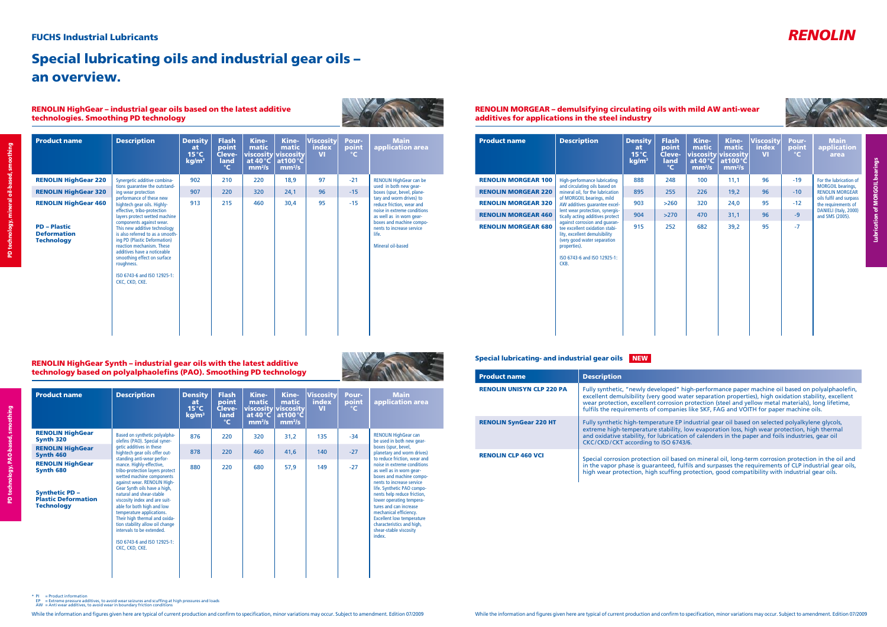

ed" high-performance paper machine oil based on polyalphaolefin, od water separation properties), high oxidation stability, excellent wear protection (steel and yellow metal materials), long lifetime,  $5$ anies like SKF, FAG and VOITH for paper machine oils.

at 15°C kg/m<sup>3</sup>

**RENOLIN HighGear 320** ing wear protection 2007 220 320 24,1 96 -15 RENOLIN HighGear 460 | Episterhear of these lies and the second and the second second second second and the second second second second second second second second second second second second second second second second se

Flash point Cleve land  $\overline{\text{°C}}$ 

Kinematic viscosity at 40°C  $mm<sup>2</sup>/s$ 

Kinematic viscosity at100°C  $mm<sup>2</sup>/s$ 

Pourpoin  $\mathbf{C}$ 

Viscosity index VI

902 | 210 | 220 | 18,9 | 97 | -21 | RENOLIN HighGear can be

Main application area

tions guarantee the outstanding wear protection performance of these new hightech gear oils. Highlyeffective, tribo-protection layers protect wetted machine components against wear. This new additive technology is also referred to as a smooth ing PD (Plastic Deformation) eaction mechanism. These additives have a noticeable smoothing effect on surface

PD – Plastic Deformation **Technology** 

roughness.

ISO 6743-6 and ISO 12925-1:

Product name Description Density

CKC, CKD, CKE.

RENOLIN HighGear 220 | Synergetic additive combina-



used in both new gearboxes (spur, bevel, planetary and worm drives) to reduce friction, wear and noise in extreme condition as well as in worn gearboxes and machine components to increase service

life.

Mineral oil-based

\*  $PI = Product information$ <br>EP = Extreme pressure additional

= Fisculat information<br>= Extreme pressure additives, to avoid wear seizures and scuffing at high pressures and loads AW = Anti wear additives, to avoid wear in boundary friction conditions.

| <b>Product name</b>                                                                                              | <b>Description</b>                                                                                                                                                                                                                                                                                                                                                                                                                                                                                                                                                                             | <b>Density</b><br>at<br>$15^{\circ}$ C<br>kg/m <sup>3</sup> | <b>Flash</b><br>point<br><b>Cleve-</b><br>land<br>$\rm ^{\circ}C$ | Kine-<br>matic<br>at $40^{\circ}$ C<br>mm <sup>2</sup> /s | <b>Kine-</b><br>matic<br>viscosity viscosity<br>at100 $^{\circ}$ C<br>mm <sup>2</sup> /s | <b>Viscosity</b><br>index<br><b>VI</b> | Pour-<br>point<br>$\rm ^{\circ}C$ | <b>Main</b><br>application area                                                                                                                                                                                                                                                                                                                                    |
|------------------------------------------------------------------------------------------------------------------|------------------------------------------------------------------------------------------------------------------------------------------------------------------------------------------------------------------------------------------------------------------------------------------------------------------------------------------------------------------------------------------------------------------------------------------------------------------------------------------------------------------------------------------------------------------------------------------------|-------------------------------------------------------------|-------------------------------------------------------------------|-----------------------------------------------------------|------------------------------------------------------------------------------------------|----------------------------------------|-----------------------------------|--------------------------------------------------------------------------------------------------------------------------------------------------------------------------------------------------------------------------------------------------------------------------------------------------------------------------------------------------------------------|
| <b>RENOLIN HighGear</b><br>Synth 320                                                                             | Based on synthetic polyalpha-<br>olefins (PAO). Special syner-<br>getic additives in these<br>hightech gear oils offer out-<br>standing anti-wear perfor-<br>mance. Highly-effective,<br>tribo-protection layers protect<br>wetted machine components<br>against wear. RENOLIN High-<br>Gear Synth oils have a high,<br>natural and shear-stable<br>viscosity index and are suit-<br>able for both high and low<br>temperature applications.<br>Their high thermal and oxida-<br>tion stability allow oil change<br>intervals to be extended.<br>ISO 6743-6 and ISO 12925-1:<br>CKC, CKD, CKE. | 876                                                         | 220                                                               | 320                                                       | 31,2                                                                                     | 135                                    | $-34$                             | <b>RENOLIN HighGear can</b><br>be used in both new gear-<br>boxes (spur, bevel,<br>planetary and worm drives)<br>to reduce friction, wear and                                                                                                                                                                                                                      |
| <b>RENOLIN HighGear</b><br>Synth 460                                                                             |                                                                                                                                                                                                                                                                                                                                                                                                                                                                                                                                                                                                | 878                                                         | 220                                                               | 460                                                       | 41,6                                                                                     | 140                                    | $-27$                             |                                                                                                                                                                                                                                                                                                                                                                    |
| <b>RENOLIN HighGear</b><br>Synth 680<br><b>Synthetic PD -</b><br><b>Plastic Deformation</b><br><b>Technology</b> |                                                                                                                                                                                                                                                                                                                                                                                                                                                                                                                                                                                                | 880                                                         | 220                                                               | 680                                                       | 57,9                                                                                     | 149                                    | $-27$                             | noise in extreme conditions<br>as well as in worn gear-<br>boxes and machine compo-<br>nents to increase service<br>life. Synthetic PAO compo-<br>nents help reduce friction,<br>lower operating tempera-<br>tures and can increase<br>mechanical efficiency.<br><b>Excellent low temperature</b><br>characteristics and high,<br>shear-stable viscosity<br>index. |

Special lubricating- and industrial gear oils NEW

> based on mineral oil, long-term corrosion protection in the oil and d, fulfils and surpasses the requirements of CLP industrial gear oils, fing protection, good compatibility with industrial gear oils.

#### RENOLIN HighGear – industrial gear oils based on the latest additive technologies. Smoothing PD technology

RENOLIN HighGear Synth – industrial gear oils with the latest additive technology based on polyalphaolefins (PAO). Smoothing PD technology



| <b>Product name</b>        | <b>Description</b>                                                                                                                                                                                                                                                                                                                                                                                                                      | <b>Density</b><br><b>at</b><br>$15^{\circ}$ C<br>kg/m <sup>3</sup> | <b>Flash</b><br>point<br>Cleve-<br>land<br>$^{\circ}$ C | Kine-<br>matic<br>at $40^{\circ}$ C<br>mm <sup>2</sup> /s | <b>Kine-</b><br>matic<br>viscosity viscosity<br>at $100^{\circ}$ C<br>mm <sup>2</sup> /s | <b>Viscosity</b><br>index<br>$\overline{\mathbf{V}}$ | Pour-<br>point<br>$^{\circ}C$ | <b>Main</b><br>application<br>area                 | of MORGOIL bearings |
|----------------------------|-----------------------------------------------------------------------------------------------------------------------------------------------------------------------------------------------------------------------------------------------------------------------------------------------------------------------------------------------------------------------------------------------------------------------------------------|--------------------------------------------------------------------|---------------------------------------------------------|-----------------------------------------------------------|------------------------------------------------------------------------------------------|------------------------------------------------------|-------------------------------|----------------------------------------------------|---------------------|
| <b>RENOLIN MORGEAR 100</b> | <b>High-performance lubricating</b><br>and circulating oils based on<br>mineral oil, for the lubrication<br>of MORGOIL bearings, mild<br>AW additives quarantee excel-<br>lent wear protection, synergis-<br>tically acting additives protect<br>against corrosion and quaran-<br>tee excellent oxidation stabi-<br>lity, excellent demulsibility<br>(very good water separation<br>properties).<br>ISO 6743-6 and ISO 12925-1:<br>CKB. | 888                                                                | 248                                                     | 100                                                       | 11,1                                                                                     | 96                                                   | $-19$                         | For the lubrication of                             |                     |
| <b>RENOLIN MORGEAR 220</b> |                                                                                                                                                                                                                                                                                                                                                                                                                                         | 895                                                                | 255                                                     | 226                                                       | 19,2                                                                                     | 96                                                   | $-10$                         | <b>MORGOIL</b> bearings,<br><b>RENOLIN MORGEAR</b> |                     |
| <b>RENOLIN MORGEAR 320</b> |                                                                                                                                                                                                                                                                                                                                                                                                                                         | 903                                                                | >260                                                    | 320                                                       | 24,0                                                                                     | 95                                                   | $-12$                         | oils fulfil and surpass<br>the requirements of     | Lubrication         |
| <b>RENOLIN MORGEAR 460</b> |                                                                                                                                                                                                                                                                                                                                                                                                                                         | 904                                                                | >270                                                    | 470                                                       | 31,1                                                                                     | 96                                                   | $-9$                          | DANIELI (Italy, 2000)<br>and SMS (2005).           |                     |
| <b>RENOLIN MORGEAR 680</b> |                                                                                                                                                                                                                                                                                                                                                                                                                                         | 915                                                                | 252                                                     | 682                                                       | 39,2                                                                                     | 95                                                   | $-7$                          |                                                    |                     |

### RENOLIN MORGEAR – demulsifying circulating oils with mild AW anti-wear additives for applications in the steel industry

| <b>Product name</b>              | <b>Description</b>                                                                                                                                                                                                                                                                                                                                                                          |
|----------------------------------|---------------------------------------------------------------------------------------------------------------------------------------------------------------------------------------------------------------------------------------------------------------------------------------------------------------------------------------------------------------------------------------------|
| <b>RENOLIN UNISYN CLP 220 PA</b> | Fully synthetic, "newly developed" high-performance paper machine oil based on polyalphao<br>excellent demulsibility (very good water separation properties), high oxidation stability, excell<br>wear protection, excellent corrosion protection (steel and yellow metal materials), long lifetin<br>fulfils the requirements of companies like SKF, FAG and VOITH for paper machine oils. |
| <b>RENOLIN SynGear 220 HT</b>    | Fully synthetic high-temperature EP industrial gear oil based on selected polyalkylene glycols,<br>extreme high-temperature stability, low evaporation loss, high wear protection, high thermal<br>and oxidative stability, for lubrication of calenders in the paper and foils industries, gear oil<br>CKC/CKD/CKT according to ISO 6743/6.                                                |
| <b>RENOLIN CLP 460 VCI</b>       | Special corrosion protection oil based on mineral oil, long-term corrosion protection in the oil<br>in the vapor phase is quaranteed, fulfils and surpasses the requirements of CLP industrial gear<br>high wear protection, high scuffing protection, good compatibility with industrial gear oils.                                                                                        |

othing PD technology, mineral oil-based, smoothing neral oil-based, smo Ē oloay, Ē

### FUCHS Industrial Lubricants

### Special lubricating oils and industrial gear oils – an overview.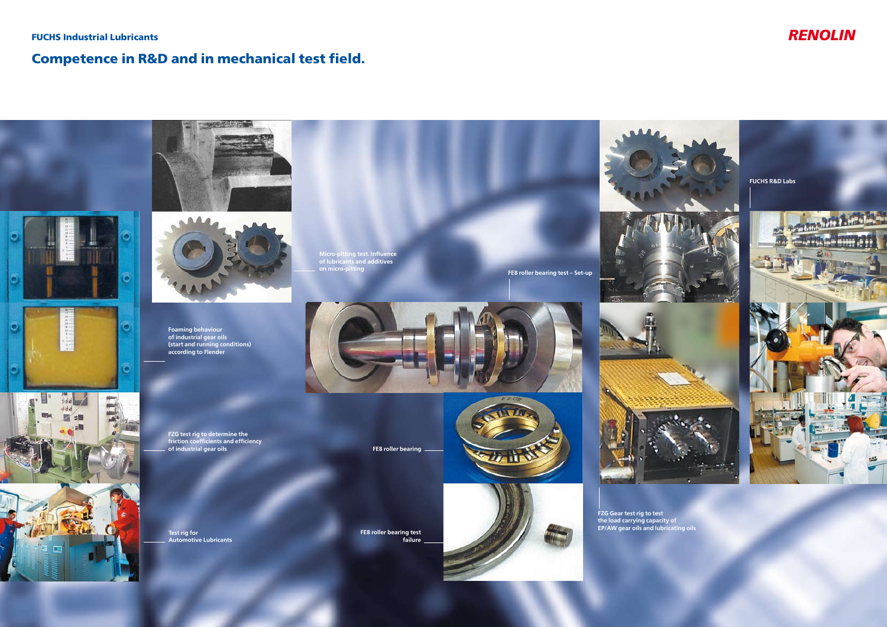## Competence in R&D and in mechanical test field.

### *RENOLIn*